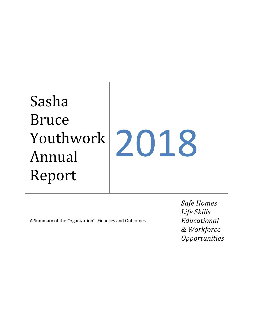# Sasha Bruce Youthwork Annual Report 2018

A Summary of the Organization's Finances and Outcomes

*Safe Homes Life Skills Educational & Workforce Opportunities*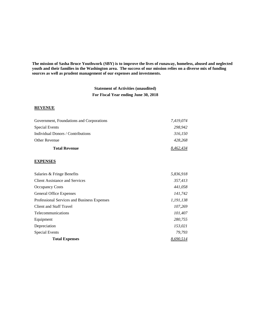**The mission of Sasha Bruce Youthwork (SBY) is to improve the lives of runaway, homeless, abused and neglected youth and their families in the Washington area. The success of our mission relies on a diverse mix of funding sources as well as prudent management of our expenses and investments.**

> **Statement of Activities (unaudited) For Fiscal Year ending June 30, 2018**

### **REVENUE**

| 428.268   |
|-----------|
| 316.150   |
| 298.942   |
| 7.419.074 |
|           |

#### **EXPENSES**

| Salaries & Fringe Benefits                  | 5,836,918 |
|---------------------------------------------|-----------|
| <b>Client Assistance and Services</b>       | 357,413   |
| <b>Occupancy Costs</b>                      | 441,058   |
| <b>General Office Expenses</b>              | 141,742   |
| Professional Services and Business Expenses | 1,191,138 |
| Client and Staff Travel                     | 107.269   |
| Telecommunications                          | 101,407   |
| Equipment                                   | 280,755   |
| Depreciation                                | 153,021   |
| <b>Special Events</b>                       | 79.793    |
| <b>Total Expenses</b>                       | 8.690.514 |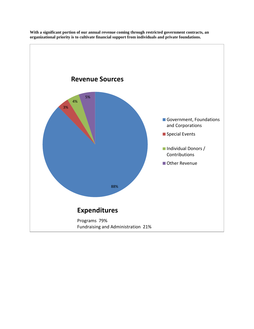

**With a significant portion of our annual revenue coming through restricted government contracts, an organizational priority is to cultivate financial support from individuals and private foundations.**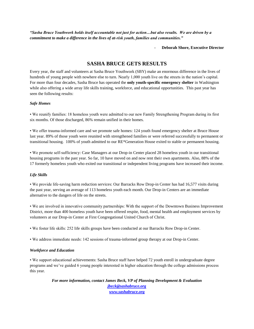*"Sasha Bruce Youthwork holds itself accountable not just for action…but also results. We are driven by a commitment to make a difference in the lives of at-risk youth, families and communities."*

- **Deborah Shore, Executive Director**

## **SASHA BRUCE GETS RESULTS**

Every year, the staff and volunteers at Sasha Bruce Youthwork (SBY) make an enormous difference in the lives of hundreds of young people with nowhere else to turn. Nearly 1,000 youth live on the streets in the nation's capital. For more than four decades, Sasha Bruce has operated the **only youth-specific emergency shelter** in Washington while also offering a wide array life skills training, workforce, and educational opportunities. This past year has seen the following results:

### *Safe Homes*

• We reunify families: 18 homeless youth were admitted to our new Family Strengthening Program during its first six months. Of those discharged, 86% remain unified in their homes.

• We offer trauma-informed care and we promote safe homes: 124 youth found emergency shelter at Bruce House last year. 89% of those youth were reunited with strengthened families or were referred successfully to permanent or transitional housing. 100% of youth admitted to our RE\*Generation House exited to stable or permanent housing.

• We promote self-sufficiency: Case Managers at our Drop-in Center placed 28 homeless youth in our transitional housing programs in the past year. So far, 10 have moved on and now rent their own apartments. Also, 88% of the 17 formerly homeless youth who exited our transitional or independent living programs have increased their income.

#### *Life Skills*

• We provide life-saving harm reduction services: Our Barracks Row Drop-in Center has had 16,577 visits during the past year, serving an average of 113 homeless youth each month. Our Drop-in Centers are an immediate alternative to the dangers of life on the streets.

• We are involved in innovative community partnerships: With the support of the Downtown Business Improvement District, more than 400 homeless youth have been offered respite, food, mental health and employment services by volunteers at our Drop-in Center at First Congregational United Church of Christ.

• We foster life skills: 252 life skills groups have been conducted at our Barracks Row Drop-in Center.

• We address immediate needs: 142 sessions of trauma-informed group therapy at our Drop-in Center.

#### *Workforce and Education*

• We support educational achievements: Sasha Bruce staff have helped 72 youth enroll in undergraduate degree programs and we've guided 6 young people interested in higher education through the college admissions process this year.

> *For more information, contact James Beck, VP of Planning Development & Evaluation [jbeck@sashabruce.org](mailto:jbeck@sashabruce.org) [www.sashabruce.org](http://www.sashabruce.org/)*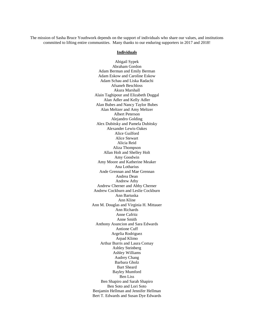The mission of Sasha Bruce Youthwork depends on the support of individuals who share our values, and institutions committed to lifting entire communities. Many thanks to our enduring supporters in 2017 and 2018!

#### **Individuals**

Abigail Sypek Abraham Gordon Adam Berman and Emily Berman Adam Eskow and Caroline Eskow Adam Schau and Liska Radachi Afsaneh Beschloss Akura Marshall Alain Taghipour and Elizabeth Duggal Alan Adler and Kelly Adler Alan Bubes and Nancy Taylor Bubes Alan Meltzer and Amy Meltzer Albert Peterson Alejandro Golding Alex Dubitsky and Pamela Dubitsky Alexander Lewis-Oakes Alice Guilford Alice Stewart Alicia Reid Aliza Thompson Allan Holt and Shelley Holt Amy Goodwin Amy Moore and Katherine Meaker Ana Lotharius Ande Grennan and Mae Grennan Andrea Dean Andrew Athy Andrew Cherner and Abby Cherner Andrew Cockburn and Leslie Cockburn Ann Bartuska Ann Kline Ann M. Douglas and Virginia H. Mittauer Ann Richards Anne Cafritz Anne Smith Anthony Asuncion and Sara Edwards Antione Cuff Argelia Rodriguez Arpad Klimo Arthur Burris and Laura Comay Ashley Steinberg Ashley Williams Audrey Chang Barbara Gholz Bart Sheard Bayley Mumford Ben Liss Ben Shapiro and Sarah Shapiro Ben Soto and Lori Soto Benjamin Hellman and Jennifer Hellman Bert T. Edwards and Susan Dye Edwards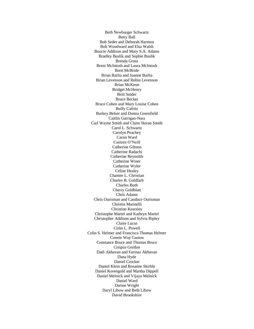Beth Newburger Schwartz Betty Ball Bob Seder and Deborah Harmon Bob Woodward and Elsa Walsh Boucie Addison and Mary S.A. Adams Bradley Buslik and Sophie Buslik Brenda Gruss Brent McIntosh and Laura McIntosh Brett McBride Brian Barlia and Joanne Barlia Brian Levenson and Robin Levenson Brian McKeon Bridget McHenry Britt Snider Bruce Becker Bruce Cohen and Mary Louise Cohen Buffy Cafritz Burkey Belser and Donna Greenfield Caitlin Garrigan-Nass Carl Wayne Smith and Claire Horan Smith Carol L. Schwartz Carolyn Peachey Caron Ward Casteen O'Neill Catherine Gibson Catherine Radachi Catherine Reynolds Catherine Winer Catherine Wyler Celine Healey Chantee L. Christian Charles B. Goldfarb Charles Both Cherry Goldblatt Chris Adams Chris Ourisman and Candace Ourisman Christin Marinelli Christine Kearsley Christophe Martel and Kathryn Martel Christopher Addison and Sylvia Ripley Claire Lucas Colin L. Powell Colin S. Helmer and Francisca Thomas Helmer Connie Way Gaston Constance Bruce and Thomas Bruce Crispus Gordon Dadi Akhavan and Farinaz Akhavan Dana Hyde Daniel Crocker Daniel Klein and Rosanne Skirble Daniel Korengold and Martha Dippell Daniel Melnick and Vijaya Melnick Daniel Ward Darien Wright Daryl Libow and Beth Libow David Brookshire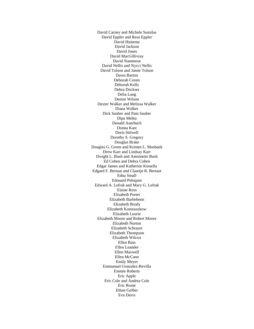David Carney and Michele Sumilas David Eppler and Resa Eppler David Huitema David Jackson David Jones David MacGillivray David Nammour David Nellis and Nycci Nellis David Tolson and Jamie Tolson Dawn Barton Deborah Coons Deborah Kelly Debra Dockser Delia Lang Denise Wilson Dexter Walker and Melissa Walker Diana Walker Dick Sauber and Pam Sauber Dipa Mehta Donald Auerbach Donna Katz Doris Stilwell Dorothy S. Gregory Douglas Brake Douglas G. Green and Kristen L. Mosbaek Drew Karr and Lindsay Karr Dwight L. Bush and Antoinette Bush Ed Cohen and Debra Cohen Edgar James and Katherine Kinsella Edgard F. Bertaut and Claartje R. Bertaut Edna Small Edouard Peloquin Edward A. Lefrak and Mary G. Lefrak Elaine Ross Elisabeth Porter Elizabeth Barbehenn Elizabeth Brody Elizabeth Koniusszkow Elizabeth Lourie Elizabeth Moore and Robert Moore Elizabeth Norton Elizabeth Schrayer Elizabeth Thompson Elizabeth Wilcox Ellen Bass Ellen Leander Ellen Maxwell Ellen McCann Emily Meyer Emmanuel Gonzalez-Revilla Emmie Roberts Eric Apple Eric Cole and Andrea Cole Eric Rome Ethan Gelber Eva Davis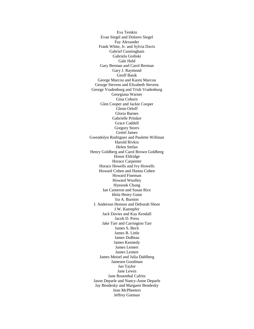Eva Temkin Evan Siegel and Dolores Siegel Fay Alexander Frank White, Jr. and Sylvia Davis Gabriel Cunningham Gabriela Grebski Gale Held Gary Berman and Carol Berman Gary J. Raymond Geoff Basik George Marcou and Karen Marcou George Stevens and Elizabeth Stevens George Vradenburg and Trish Vradenburg Georgiana Warner Gina Coburn Glen Cooper and Jackie Cooper Glenn Orloff Gloria Barnes Gabrielle Pritsker Grace Caddell Gregory Storrs Gretel James Gwendolyn Rodriguez and Paulette Willman Harold Rivkin Helen Stefan Henry Goldberg and Carol Brown Goldberg Honor Eldridge Horace Carpenter Horace Howells and Ivy Howells Howard Cohen and Hanna Cohen Howard Fineman Howard Woolley Hyesook Chung Ian Cameron and Susan Rice Idola Henry Gunn Ira A. Burnim J. Anderson Henson and Deborah Shore J.W. Kaempfer Jack Davies and Kay Kendall Jacob D. Press Jake Tarr and Carrington Tarr James S. Beck James B. Little James DuBeau James Kennedy James Lemert James Lemert James Meisel and Julia Dahlberg Jamesen Goodman Jan Taylor Jane Lewin Jane Rosenthal Cafritz Jason Deparle and Nancy-Anne Deparle Jay Bendesky and Margaret Bendesky Jean McPheeters Jeffrey Gutman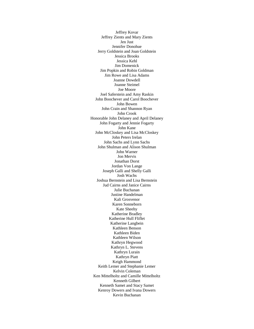Jeffrey Kovar Jeffrey Zients and Mary Zients Jen Just Jennifer Donohue Jerry Goldstein and Joan Goldstein Jessica Brooks Jessica Kehl Jim Domenick Jim Popkin and Robin Goldman Jim Rowe and Lisa Adams Joanne Dowdell Joanne Steimel Joe Moore Joel Saferstein and Amy Raskin John Boochever and Carol Boochever John Bowen John Crain and Shannon Ryan John Crook Honorable John Delaney and April Delaney John Fogarty and Jennie Fogarty John Kane John McCloskey and Lisa McCloskey John Peters Irelan John Sachs and Lynn Sachs John Shulman and Alison Shulman John Warner Jon Mervis Jonathan Dorst Jordan Von Lange Joseph Galli and Shelly Galli Josh Wachs Joshua Bernstein and Lisa Bernstein Jud Cairns and Janice Cairns Julie Buchanan Justine Handelman Kali Grosvenor Karen Sonneborn Kate Sheehy Katherine Bradley Katherine Hull Fliflet Katherine Langbein Kathleen Benson Kathleen Biden Kathleen Wilson Kathryn Hegwood Kathryn L. Stevens Kathryn Lurain Kathryn Piatt Keigh Hammond Keith Lemer and Stephanie Lemer Kelvin Coleman Ken Mittelholtz and Camille Mittelholtz Kenneth Gilbert Kenneth Samet and Stacy Samet Kenroy Dowers and Ivana Dowers Kevin Buchanan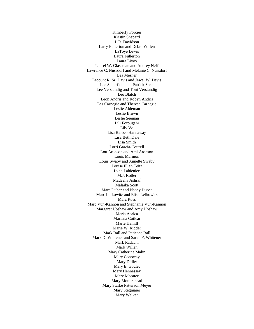Kimberly Forcier Kristin Shepard L.R. Davidson Larry Fullerton and Debra Willen LaToye Lewis Laura Fullerton Laura Livoy Laurel W. Glassman and Audrey Neff Lawrence C. Nussdorf and Melanie C. Nussdorf Lea Mesner Lecount R. Sr. Davis and Jewel W. Davis Lee Satterfield and Patrick Steel Lee Verstandig and Toni Verstandig Leo Blatch Leon Andris and Robyn Andris Les Carnegie and Theresa Carnegie Leslie Aldeman Leslie Brown Leslie Seeman Lili Forougahi Lily Vo Lisa Barber-Hannaway Lisa Beth Dale Lisa Smith Lorri Garcia-Cottrell Lou Aronson and Ami Aronson Louis Marmon Louis Swaby and Annette Swaby Louise Ellen Teitz Lynn Labieniec M.J. Kotler Madeeha Ashraf Malaika Scott Marc Duber and Nancy Duber Marc Lefkowitz and Elise Lefkowitz Marc Ross Marc Vun-Kannon and Stephanie Vun-Kannon Margaret Upshaw and Amy Upshaw Maria Abrica Mariana Cotlear Marie Hamill Marie W. Ridder Mark Ball and Patience Ball Mark D. Whitener and Sarah F. Whitener Mark Radachi Mark Willen Mary Catherine Malin Mary Conoway Mary Didier Mary E. Goulet Mary Hennessey Mary Macatee Mary Mottershead Mary Starke Patterson Meyer Mary Stegmaier Mary Walker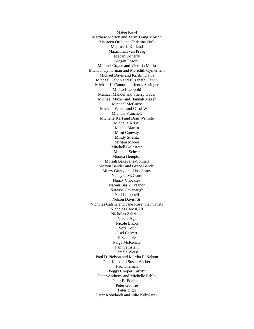Matee Kowl Matthew Morton and Xuan Trang Morton Maureen Orth and Christina Orth Maurice J. Kurland Maximilian van Praag Megan Doherty Megan Fowler Michael Coyne and Victoria Merlo Michael Cymerman and Meredith Cymerman Michael Davis and Kristin Davis Michael Galvin and Elizabeth Galvin Michael L. Cantor and Jenny Springer Michael Leopold Michael Mandel and Sherry Haber Michael Mazer and Hannah Mazer Michael McCurry Michael Winer and Carol Winer Michele Franchett Michelle Karl and Dian Wrinkle Michelle Krisel Mikala Martin Mimi Conway Mindy Strelitz Miriam Moore Mitchell Goldstein Mitchell Schear Monica Hempton Moriah Baxevane-Connell Morton Bender and Grace Bender Murry Gunty and Lisa Gunty Nancy C McGuire Nancy Chockley Naomi Basik Treanor Natasha Cavanaugh Neil Campbell Nelson Davis, Sr. Nicholas Cafritz and Jane Rosenthal Cafritz Nicholas Carosi, III Nicholas Zabriskie Nicole Aga Nicole Elkon Nora Toiv Osel Calvert P Schaible Paige McKenzie Pam Feinstein Pamela Weiss Paul D. Nelson and Martha F. Nelson Paul Kalb and Susan Ascher Paul Kiernan Peggy Cooper Cafritz Peter Anthony and Michelle Pablo Peter B. Edelman Peter Guthrie Peter High Peter Kobylarek and Julie Kobylarek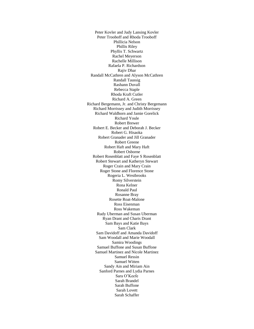Peter Kovler and Judy Lansing Kovler Peter Trooboff and Rhoda Trooboff Phillicia Nelson Phillis Riley Phyllis T. Schwartz Rachel Meyerson Rachelle Millison Rafaela P. Richardson Rajiv Dhar Randall McCathren and Alyson McCathren Randall Taussig Rashann Duvall Rebecca Staple Rhoda Kraft Cutler Richard A. Green Richard Bergemann, Jr. and Christy Bergemann Richard Morrissey and Judith Morrissey Richard Waldhorn and Jamie Gorelick Richard Youle Robert Brewer Robert E. Becker and Deborah J. Becker Robert G. Hisaoka Robert Granader and Jill Granader Robert Greene Robert Haft and Mary Haft Robert Osborne Robert Rosenblatt and Faye S Rosenblatt Robert Stewart and Katheryn Stewart Roger Crain and Mary Crain Roger Stone and Florence Stone Rogeria L. Westbrooks Romy Silverstein Rona Kelner Ronald Paul Rosanne Bray Rosette Roat-Malone Ross Eisenman Ross Wakeman Rudy Uberman and Susan Uberman Ryan Drant and Charis Drant Sam Bays and Katie Bays Sam Clark Sam Davidoff and Amanda Davidoff Sam Woodall and Marie Woodall Samira Woodings Samuel Buffone and Susan Buffone Samuel Martinez and Nicole Martinez Samuel Ressin Samuel Witten Sandy Ain and Miriam Ain Sanford Parnes and Lydia Parnes Sara O'Keefe Sarah Brandel Sarah Buffone Sarah Lovett Sarah Schaffer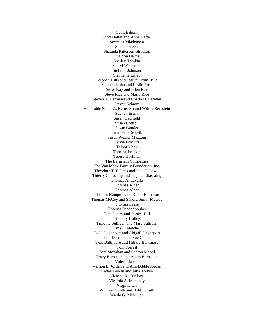Scott Eshom Scott Hefter and Anne Hefter Severina Mladenova Shauna Steele Shaunda Patterson-Strachan Sheldon Harris Shelley Tomkin Sheryl Wilkerson Stefanie Johnson Stephanie Lilley Stephen Hills and Joslyn Flynn Hills Stephen Kohn and Leslie Rose Steve Kay and Ellen Kay Steve Rice and Marla Rice Steven A. Lerman and Charla H. Lerman Steven Schram Honorable Stuart A. Bernstein and Wilma Bernstein Suellen Estrin Susan Caulfield Susan Cottrell Susan Gander Susan Glor Scheib Susan Wexler Mazzoni Sylvia Horwitz Talbot Mack Taprina Jackson Teresa Hoffman The Bernstein Companies The Van Metre Family Foundation, Inc. Theodore T. Belazis and Jane C. Lewis Thierry Chassaing and Tatjana Chassaing Thomas A. Lavalla Thomas Alder Thomas Alder Thomas Hampton and Karen Hampton Thomas McCoy and Sandra Smith-McCoy Thomas Paese Thomas Papadopoulos Tim Gentry and Jessica Hill Timothy Hulley Timothy Sullivan and Mary Sullivan Tina L. Fletcher Todd Davenport and Abigail Davenport Todd Dorrien and Sue Gander Tom Baltimore and Hillary Baltimore Tom Forrest Tom Monahan and Sharon Marcil Tracy Bernstein and Adam Bernstein Valerie Jarrett Vernon E. Jordan and Ann Dibble Jordan Victor Tolkan and Julia Tolkan Victoria R. Cordova Virginia A. Mahoney Virginia Orr W. Dean Smith and Bobbi Smith Waldo G. McMillan